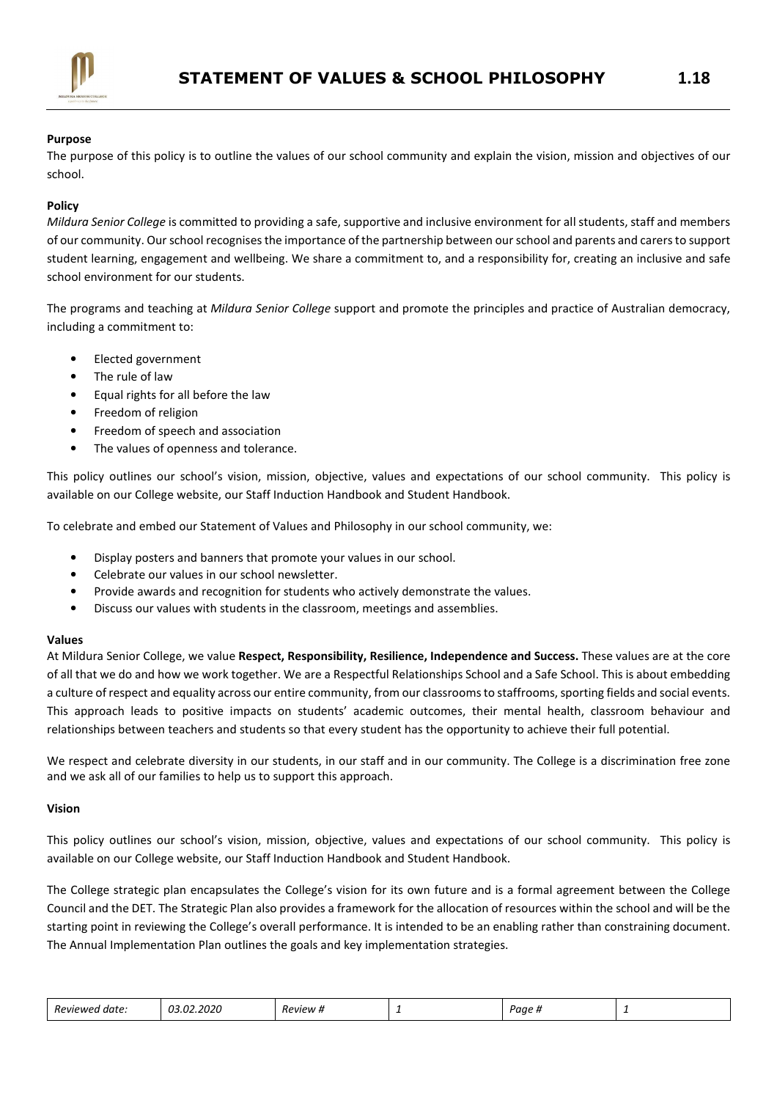

# Purpose

The purpose of this policy is to outline the values of our school community and explain the vision, mission and objectives of our school.

## Policy

Mildura Senior College is committed to providing a safe, supportive and inclusive environment for all students, staff and members of our community. Our school recognises the importance of the partnership between our school and parents and carers to support student learning, engagement and wellbeing. We share a commitment to, and a responsibility for, creating an inclusive and safe school environment for our students.

The programs and teaching at Mildura Senior College support and promote the principles and practice of Australian democracy, including a commitment to:

- Elected government
- The rule of law
- Equal rights for all before the law
- Freedom of religion
- Freedom of speech and association
- The values of openness and tolerance.

This policy outlines our school's vision, mission, objective, values and expectations of our school community. This policy is available on our College website, our Staff Induction Handbook and Student Handbook.

To celebrate and embed our Statement of Values and Philosophy in our school community, we:

- Display posters and banners that promote your values in our school.
- Celebrate our values in our school newsletter.
- Provide awards and recognition for students who actively demonstrate the values.
- Discuss our values with students in the classroom, meetings and assemblies.

#### Values

At Mildura Senior College, we value Respect, Responsibility, Resilience, Independence and Success. These values are at the core of all that we do and how we work together. We are a Respectful Relationships School and a Safe School. This is about embedding a culture of respect and equality across our entire community, from our classrooms to staffrooms, sporting fields and social events. This approach leads to positive impacts on students' academic outcomes, their mental health, classroom behaviour and relationships between teachers and students so that every student has the opportunity to achieve their full potential.

We respect and celebrate diversity in our students, in our staff and in our community. The College is a discrimination free zone and we ask all of our families to help us to support this approach.

#### Vision

This policy outlines our school's vision, mission, objective, values and expectations of our school community. This policy is available on our College website, our Staff Induction Handbook and Student Handbook.

The College strategic plan encapsulates the College's vision for its own future and is a formal agreement between the College Council and the DET. The Strategic Plan also provides a framework for the allocation of resources within the school and will be the starting point in reviewing the College's overall performance. It is intended to be an enabling rather than constraining document. The Annual Implementation Plan outlines the goals and key implementation strategies.

| : date:<br>Reviewed | 03.02.2020 | <sup>w</sup> eview # | - | Page, |  |
|---------------------|------------|----------------------|---|-------|--|
|---------------------|------------|----------------------|---|-------|--|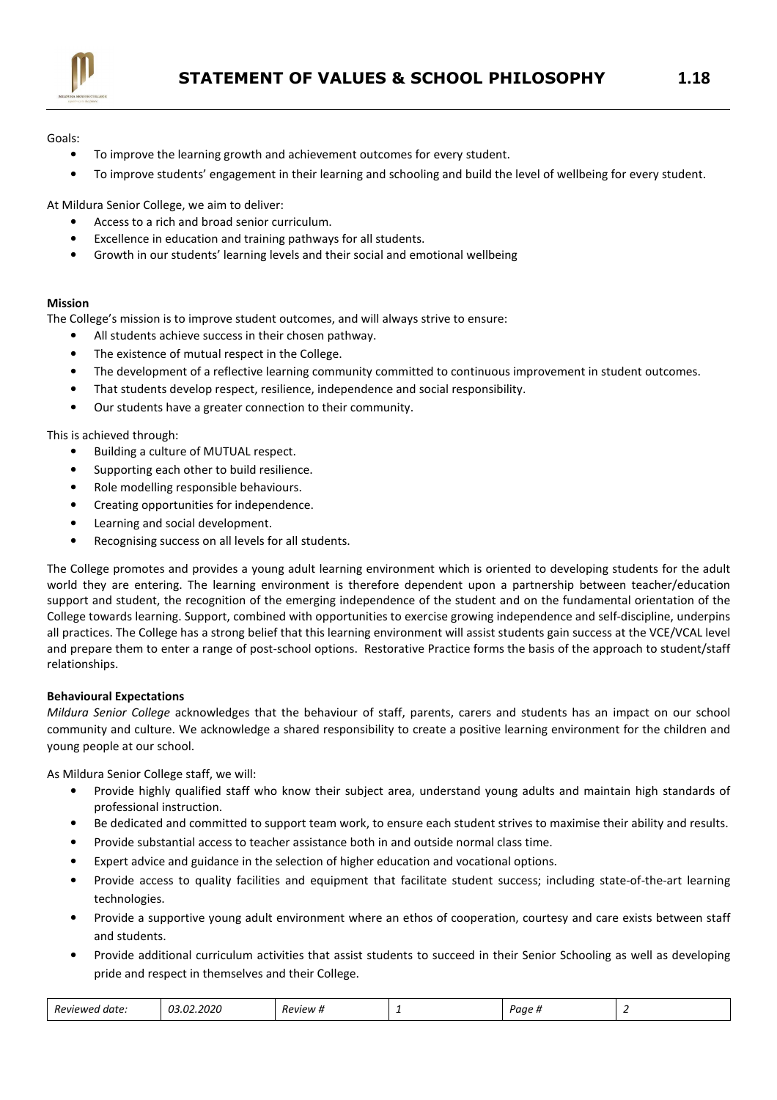

Goals:

- To improve the learning growth and achievement outcomes for every student.
- To improve students' engagement in their learning and schooling and build the level of wellbeing for every student.

At Mildura Senior College, we aim to deliver:

- Access to a rich and broad senior curriculum.
- Excellence in education and training pathways for all students.
- Growth in our students' learning levels and their social and emotional wellbeing

# Mission

The College's mission is to improve student outcomes, and will always strive to ensure:

- All students achieve success in their chosen pathway.
- The existence of mutual respect in the College.
- The development of a reflective learning community committed to continuous improvement in student outcomes.
- That students develop respect, resilience, independence and social responsibility.
- Our students have a greater connection to their community.

This is achieved through:

- Building a culture of MUTUAL respect.
- Supporting each other to build resilience.
- Role modelling responsible behaviours.
- Creating opportunities for independence.
- Learning and social development.
- Recognising success on all levels for all students.

The College promotes and provides a young adult learning environment which is oriented to developing students for the adult world they are entering. The learning environment is therefore dependent upon a partnership between teacher/education support and student, the recognition of the emerging independence of the student and on the fundamental orientation of the College towards learning. Support, combined with opportunities to exercise growing independence and self-discipline, underpins all practices. The College has a strong belief that this learning environment will assist students gain success at the VCE/VCAL level and prepare them to enter a range of post-school options. Restorative Practice forms the basis of the approach to student/staff relationships.

# Behavioural Expectations

Mildura Senior College acknowledges that the behaviour of staff, parents, carers and students has an impact on our school community and culture. We acknowledge a shared responsibility to create a positive learning environment for the children and young people at our school.

As Mildura Senior College staff, we will:

- Provide highly qualified staff who know their subject area, understand young adults and maintain high standards of professional instruction.
- Be dedicated and committed to support team work, to ensure each student strives to maximise their ability and results.
- Provide substantial access to teacher assistance both in and outside normal class time.
- Expert advice and guidance in the selection of higher education and vocational options.
- Provide access to quality facilities and equipment that facilitate student success; including state-of-the-art learning technologies.
- Provide a supportive young adult environment where an ethos of cooperation, courtesy and care exists between staff and students.
- Provide additional curriculum activities that assist students to succeed in their Senior Schooling as well as developing pride and respect in themselves and their College.

| 2.2020<br>$\sim$<br>Reviewed<br>Paae<br><i>Review #</i><br>date.<br>.<br>. .<br>- |
|-----------------------------------------------------------------------------------|
|-----------------------------------------------------------------------------------|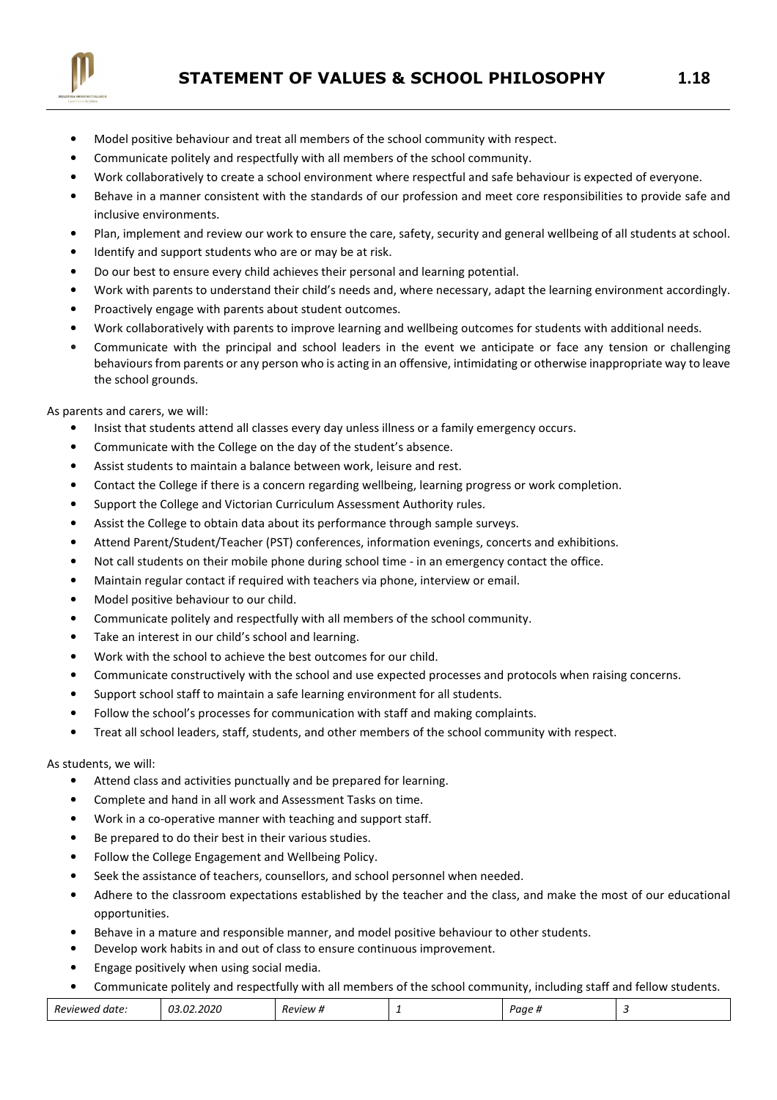

- Model positive behaviour and treat all members of the school community with respect.
- Communicate politely and respectfully with all members of the school community.
- Work collaboratively to create a school environment where respectful and safe behaviour is expected of everyone.
- Behave in a manner consistent with the standards of our profession and meet core responsibilities to provide safe and inclusive environments.
- Plan, implement and review our work to ensure the care, safety, security and general wellbeing of all students at school.
- Identify and support students who are or may be at risk.
- Do our best to ensure every child achieves their personal and learning potential.
- Work with parents to understand their child's needs and, where necessary, adapt the learning environment accordingly.
- Proactively engage with parents about student outcomes.
- Work collaboratively with parents to improve learning and wellbeing outcomes for students with additional needs.
- Communicate with the principal and school leaders in the event we anticipate or face any tension or challenging behaviours from parents or any person who is acting in an offensive, intimidating or otherwise inappropriate way to leave the school grounds.

## As parents and carers, we will:

- Insist that students attend all classes every day unless illness or a family emergency occurs.
- Communicate with the College on the day of the student's absence.
- Assist students to maintain a balance between work, leisure and rest.
- Contact the College if there is a concern regarding wellbeing, learning progress or work completion.
- Support the College and Victorian Curriculum Assessment Authority rules.
- Assist the College to obtain data about its performance through sample surveys.
- Attend Parent/Student/Teacher (PST) conferences, information evenings, concerts and exhibitions.
- Not call students on their mobile phone during school time in an emergency contact the office.
- Maintain regular contact if required with teachers via phone, interview or email.
- Model positive behaviour to our child.
- Communicate politely and respectfully with all members of the school community.
- Take an interest in our child's school and learning.
- Work with the school to achieve the best outcomes for our child.
- Communicate constructively with the school and use expected processes and protocols when raising concerns.
- Support school staff to maintain a safe learning environment for all students.
- Follow the school's processes for communication with staff and making complaints.
- Treat all school leaders, staff, students, and other members of the school community with respect.

### As students, we will:

- Attend class and activities punctually and be prepared for learning.
- Complete and hand in all work and Assessment Tasks on time.
- Work in a co-operative manner with teaching and support staff.
- Be prepared to do their best in their various studies.
- Follow the College Engagement and Wellbeing Policy.
- Seek the assistance of teachers, counsellors, and school personnel when needed.
- Adhere to the classroom expectations established by the teacher and the class, and make the most of our educational opportunities.
- Behave in a mature and responsible manner, and model positive behaviour to other students.
- Develop work habits in and out of class to ensure continuous improvement.
- Engage positively when using social media.
- Communicate politely and respectfully with all members of the school community, including staff and fellow students.

| Reviewe<br>date<br><br>. | <b>.</b><br>$11-$<br>$\sim$ $\sim$ $\sim$ $\sim$ $\sim$ | <i>RPVIPIA</i><br> | - | $\sim$<br>aar<br> |  |
|--------------------------|---------------------------------------------------------|--------------------|---|-------------------|--|
|--------------------------|---------------------------------------------------------|--------------------|---|-------------------|--|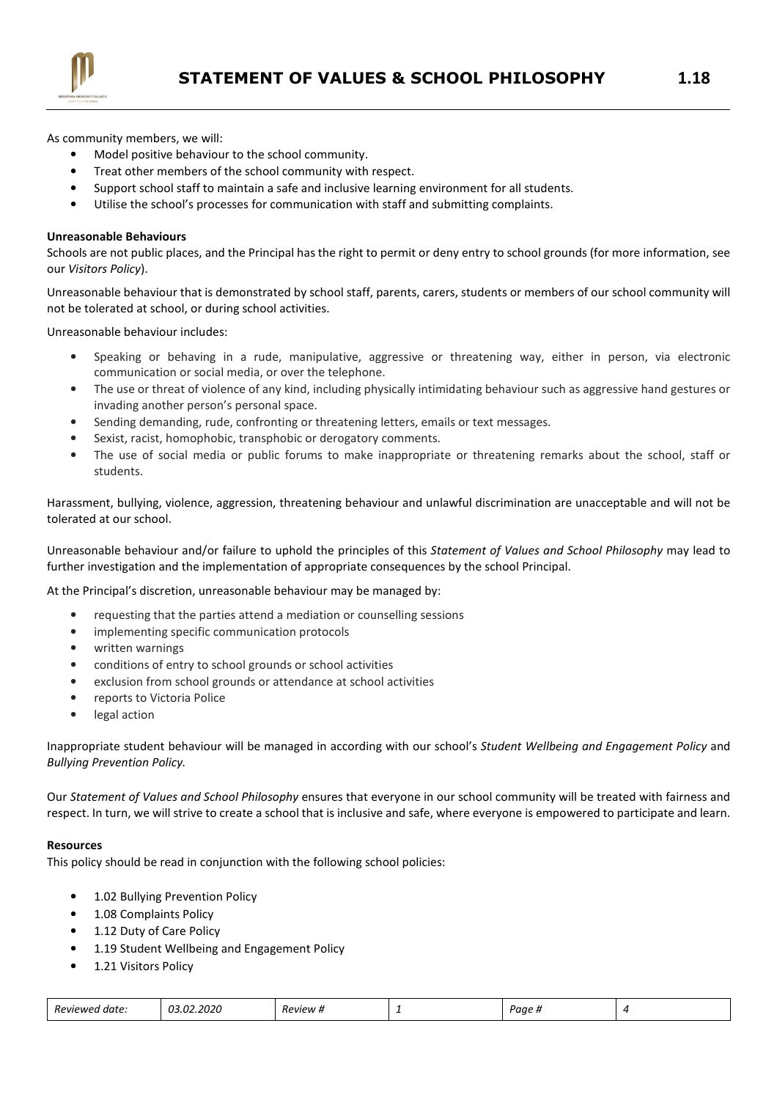

As community members, we will:

- Model positive behaviour to the school community.
- Treat other members of the school community with respect.
- Support school staff to maintain a safe and inclusive learning environment for all students.
- Utilise the school's processes for communication with staff and submitting complaints.

#### Unreasonable Behaviours

Schools are not public places, and the Principal has the right to permit or deny entry to school grounds (for more information, see our Visitors Policy).

Unreasonable behaviour that is demonstrated by school staff, parents, carers, students or members of our school community will not be tolerated at school, or during school activities.

Unreasonable behaviour includes:

- Speaking or behaving in a rude, manipulative, aggressive or threatening way, either in person, via electronic communication or social media, or over the telephone.
- The use or threat of violence of any kind, including physically intimidating behaviour such as aggressive hand gestures or invading another person's personal space.
- Sending demanding, rude, confronting or threatening letters, emails or text messages.
- Sexist, racist, homophobic, transphobic or derogatory comments.
- The use of social media or public forums to make inappropriate or threatening remarks about the school, staff or students.

Harassment, bullying, violence, aggression, threatening behaviour and unlawful discrimination are unacceptable and will not be tolerated at our school.

Unreasonable behaviour and/or failure to uphold the principles of this Statement of Values and School Philosophy may lead to further investigation and the implementation of appropriate consequences by the school Principal.

At the Principal's discretion, unreasonable behaviour may be managed by:

- requesting that the parties attend a mediation or counselling sessions
- implementing specific communication protocols
- written warnings
- conditions of entry to school grounds or school activities
- exclusion from school grounds or attendance at school activities
- reports to Victoria Police
- legal action

Inappropriate student behaviour will be managed in according with our school's Student Wellbeing and Engagement Policy and Bullying Prevention Policy.

Our Statement of Values and School Philosophy ensures that everyone in our school community will be treated with fairness and respect. In turn, we will strive to create a school that is inclusive and safe, where everyone is empowered to participate and learn.

### Resources

This policy should be read in conjunction with the following school policies:

- 1.02 Bullying Prevention Policy
- 1.08 Complaints Policy
- 1.12 Duty of Care Policy
- 1.19 Student Wellbeing and Engagement Policy
- 1.21 Visitors Policy

| -<br><i>Reviewer</i><br>I date: | חמי<br>നാ | ?PviPw # | - | $\lambda$<br>uue н<br> |  |
|---------------------------------|-----------|----------|---|------------------------|--|
|---------------------------------|-----------|----------|---|------------------------|--|